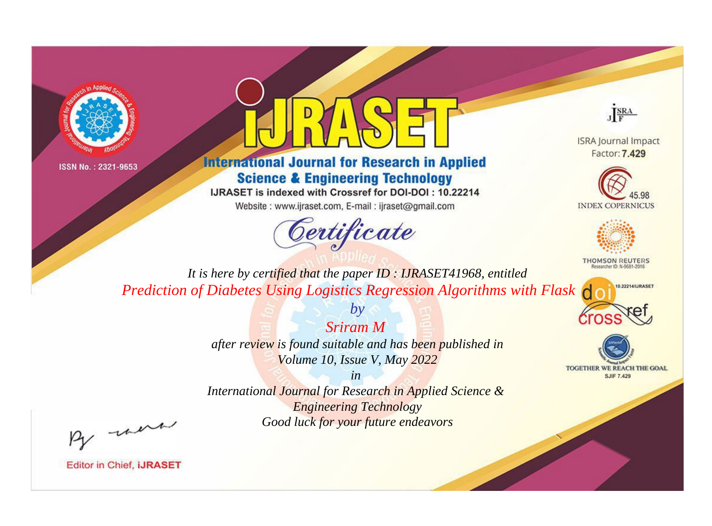



## **International Journal for Research in Applied Science & Engineering Technology**

IJRASET is indexed with Crossref for DOI-DOI: 10.22214

Website: www.ijraset.com, E-mail: ijraset@gmail.com



JERA

**ISRA Journal Impact** Factor: 7.429





**THOMSON REUTERS** 

10.22214/IJRASET

TOGETHER WE REACH THE GOAL **SJIF 7.429** 

*It is here by certified that the paper ID : IJRASET41968, entitled Prediction of Diabetes Using Logistics Regression Algorithms with Flask*

> *Sriram M after review is found suitable and has been published in Volume 10, Issue V, May 2022*

*by*

*in* 

*International Journal for Research in Applied Science & Engineering Technology Good luck for your future endeavors*

By morn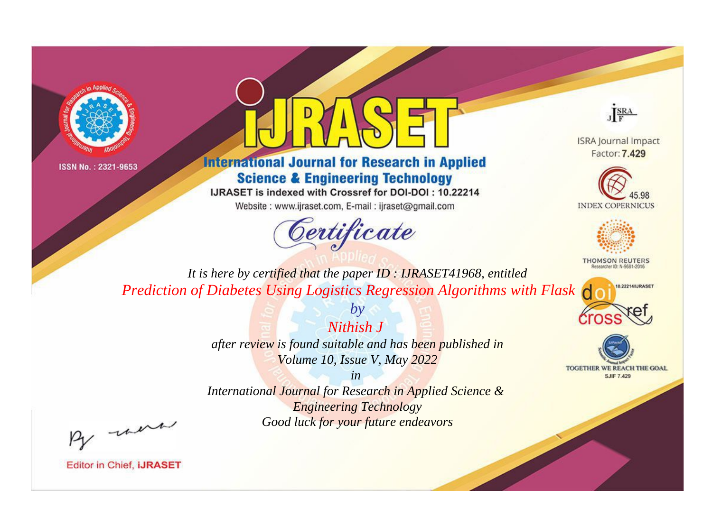



## **International Journal for Research in Applied Science & Engineering Technology**

IJRASET is indexed with Crossref for DOI-DOI: 10.22214

Website: www.ijraset.com, E-mail: ijraset@gmail.com



JERA

**ISRA Journal Impact** Factor: 7.429





**THOMSON REUTERS** 



TOGETHER WE REACH THE GOAL **SJIF 7.429** 

*It is here by certified that the paper ID : IJRASET41968, entitled Prediction of Diabetes Using Logistics Regression Algorithms with Flask*

> *Nithish J after review is found suitable and has been published in Volume 10, Issue V, May 2022*

*by*

*in* 

*International Journal for Research in Applied Science & Engineering Technology Good luck for your future endeavors*

By morn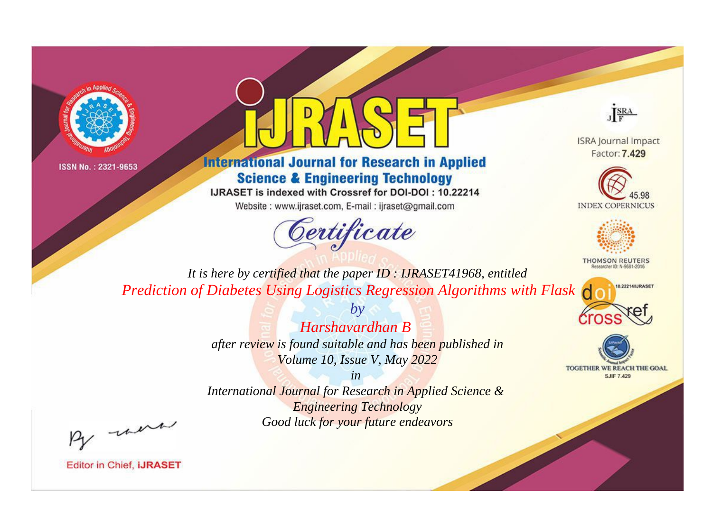



## **International Journal for Research in Applied Science & Engineering Technology**

IJRASET is indexed with Crossref for DOI-DOI: 10.22214

Website: www.ijraset.com, E-mail: ijraset@gmail.com



JERA

**ISRA Journal Impact** Factor: 7.429





**THOMSON REUTERS** 



TOGETHER WE REACH THE GOAL **SJIF 7.429** 

*It is here by certified that the paper ID : IJRASET41968, entitled Prediction of Diabetes Using Logistics Regression Algorithms with Flask*

> *Harshavardhan B after review is found suitable and has been published in Volume 10, Issue V, May 2022*

*by*

*in* 

*International Journal for Research in Applied Science & Engineering Technology Good luck for your future endeavors*

By morn